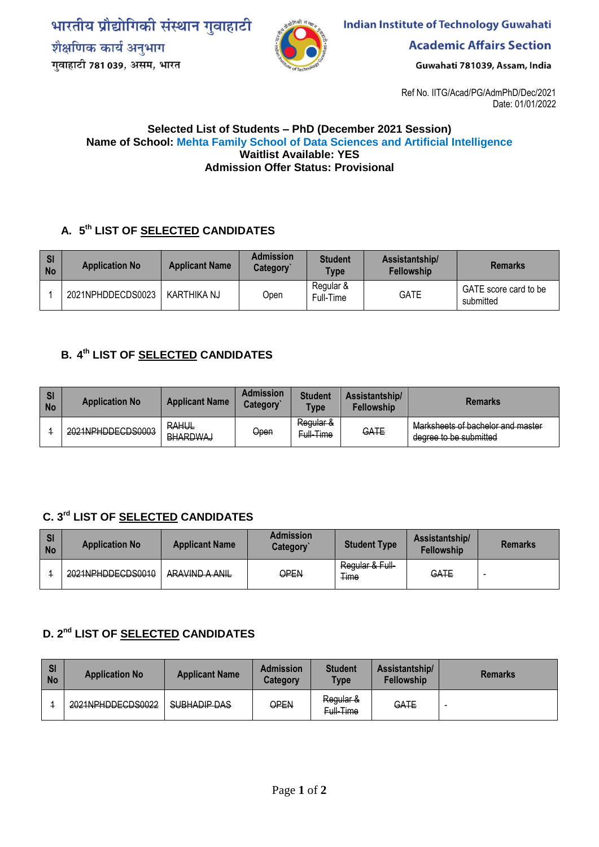भारतीय प्रौद्योगिकी संस्थान गुवाहाटी शैक्षणिक कार्य अनुभाग गुवाहाटी 781 039, असम, भारत



**Indian Institute of Technology Guwahati** 

**Academic Affairs Section** 

Guwahati 781039, Assam, India

Ref No. IITG/Acad/PG/AdmPhD/Dec/2021 Date: 01/01/2022

#### **Selected List of Students – PhD (December 2021 Session) Name of School: Mehta Family School of Data Sciences and Artificial Intelligence Waitlist Available: YES Admission Offer Status: Provisional**

# **A. 5 th LIST OF SELECTED CANDIDATES**

| <b>SI</b><br><b>No</b> | <b>Application No</b> | <b>Applicant Name</b> | <b>Admission</b><br>Category | <b>Student</b><br><b>Type</b> | Assistantship/<br><b>Fellowship</b> | <b>Remarks</b>                     |
|------------------------|-----------------------|-----------------------|------------------------------|-------------------------------|-------------------------------------|------------------------------------|
|                        | 2021NPHDDECDS0023     | KARTHIKA NJ           | Dpen                         | Regular &<br>Full-Time        | <b>GATE</b>                         | GATE score card to be<br>submitted |

## **B. 4 th LIST OF SELECTED CANDIDATES**

| <b>SI</b><br><b>No</b> | <b>Application No</b> | <b>Applicant Name</b>           | <b>Admission</b><br><b>Category</b> ` | <b>Student</b><br><b>Type</b> | Assistantship/<br><b>Fellowship</b> | <b>Remarks</b>                                              |
|------------------------|-----------------------|---------------------------------|---------------------------------------|-------------------------------|-------------------------------------|-------------------------------------------------------------|
|                        | 2021NPHDDECDS0003     | <b>RAHUL</b><br><b>BHARDWAJ</b> | Open                                  | Regular &<br>Full-Time        | GATE                                | Marksheets of bachelor and master<br>degree to be submitted |

# **C. 3 rd LIST OF SELECTED CANDIDATES**

| S <sub>l</sub><br><b>No</b> | <b>Application No</b> | <b>Applicant Name</b>                         | <b>Admission</b><br><b>Category</b> | <b>Student Type</b>            | Assistantship/<br><b>Fellowship</b> | <b>Remarks</b>           |
|-----------------------------|-----------------------|-----------------------------------------------|-------------------------------------|--------------------------------|-------------------------------------|--------------------------|
|                             | 2021NPHDDECDS0010     | ARAVIND A ANIL<br><del>AIVAVIIVD A AWIL</del> | ƏPEN                                | Regular & Full-<br><b>Time</b> | GATE                                | $\overline{\phantom{a}}$ |

# **D. 2nd LIST OF SELECTED CANDIDATES**

| <b>SI</b><br>No | <b>Application No</b>                                  | <b>Applicant Name</b> | <b>Admission</b><br>Category | <b>Student</b><br><b>Type</b> | Assistantship/<br><b>Fellowship</b> | <b>Remarks</b>           |
|-----------------|--------------------------------------------------------|-----------------------|------------------------------|-------------------------------|-------------------------------------|--------------------------|
|                 | 2021NPHODECDS0022<br><del>ZUZ IINFI IIDDEGDOUUZZ</del> | SUBHADIP DAS          | OPEN                         | Regular &<br>Full-Time        | GATE                                | $\overline{\phantom{a}}$ |